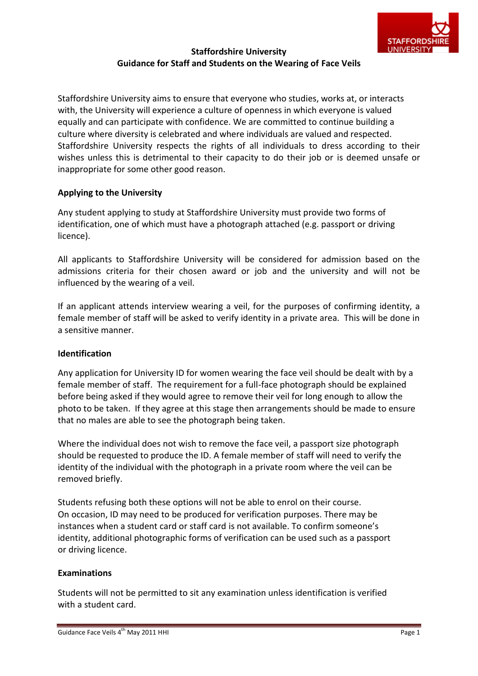

## **Staffordshire University Guidance for Staff and Students on the Wearing of Face Veils**

Staffordshire University aims to ensure that everyone who studies, works at, or interacts with, the University will experience a culture of openness in which everyone is valued equally and can participate with confidence. We are committed to continue building a culture where diversity is celebrated and where individuals are valued and respected. Staffordshire University respects the rights of all individuals to dress according to their wishes unless this is detrimental to their capacity to do their job or is deemed unsafe or inappropriate for some other good reason.

## **Applying to the University**

Any student applying to study at Staffordshire University must provide two forms of identification, one of which must have a photograph attached (e.g. passport or driving licence).

All applicants to Staffordshire University will be considered for admission based on the admissions criteria for their chosen award or job and the university and will not be influenced by the wearing of a veil.

If an applicant attends interview wearing a veil, for the purposes of confirming identity, a female member of staff will be asked to verify identity in a private area. This will be done in a sensitive manner.

## **Identification**

Any application for University ID for women wearing the face veil should be dealt with by a female member of staff. The requirement for a full-face photograph should be explained before being asked if they would agree to remove their veil for long enough to allow the photo to be taken. If they agree at this stage then arrangements should be made to ensure that no males are able to see the photograph being taken.

Where the individual does not wish to remove the face veil, a passport size photograph should be requested to produce the ID. A female member of staff will need to verify the identity of the individual with the photograph in a private room where the veil can be removed briefly.

Students refusing both these options will not be able to enrol on their course. On occasion, ID may need to be produced for verification purposes. There may be instances when a student card or staff card is not available. To confirm someone's identity, additional photographic forms of verification can be used such as a passport or driving licence.

## **Examinations**

Students will not be permitted to sit any examination unless identification is verified with a student card.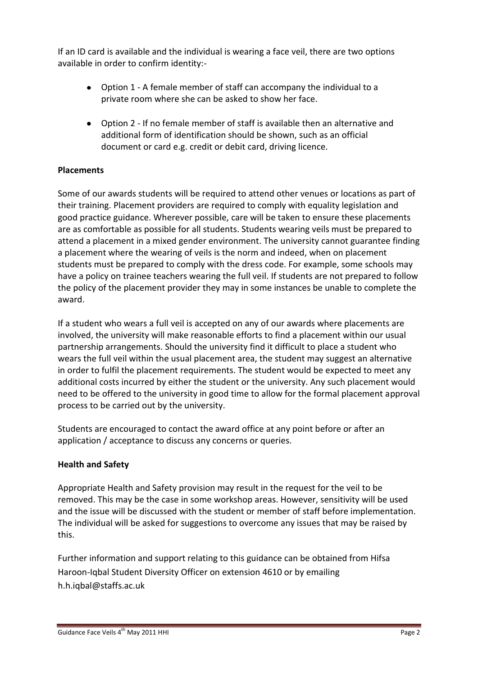If an ID card is available and the individual is wearing a face veil, there are two options available in order to confirm identity:-

- Option 1 A female member of staff can accompany the individual to a private room where she can be asked to show her face.
- Option 2 If no female member of staff is available then an alternative and additional form of identification should be shown, such as an official document or card e.g. credit or debit card, driving licence.

# **Placements**

Some of our awards students will be required to attend other venues or locations as part of their training. Placement providers are required to comply with equality legislation and good practice guidance. Wherever possible, care will be taken to ensure these placements are as comfortable as possible for all students. Students wearing veils must be prepared to attend a placement in a mixed gender environment. The university cannot guarantee finding a placement where the wearing of veils is the norm and indeed, when on placement students must be prepared to comply with the dress code. For example, some schools may have a policy on trainee teachers wearing the full veil. If students are not prepared to follow the policy of the placement provider they may in some instances be unable to complete the award.

If a student who wears a full veil is accepted on any of our awards where placements are involved, the university will make reasonable efforts to find a placement within our usual partnership arrangements. Should the university find it difficult to place a student who wears the full veil within the usual placement area, the student may suggest an alternative in order to fulfil the placement requirements. The student would be expected to meet any additional costs incurred by either the student or the university. Any such placement would need to be offered to the university in good time to allow for the formal placement approval process to be carried out by the university.

Students are encouraged to contact the award office at any point before or after an application / acceptance to discuss any concerns or queries.

## **Health and Safety**

Appropriate Health and Safety provision may result in the request for the veil to be removed. This may be the case in some workshop areas. However, sensitivity will be used and the issue will be discussed with the student or member of staff before implementation. The individual will be asked for suggestions to overcome any issues that may be raised by this.

Further information and support relating to this guidance can be obtained from Hifsa Haroon-Iqbal Student Diversity Officer on extension 4610 or by emailing h.h.iqbal@staffs.ac.uk